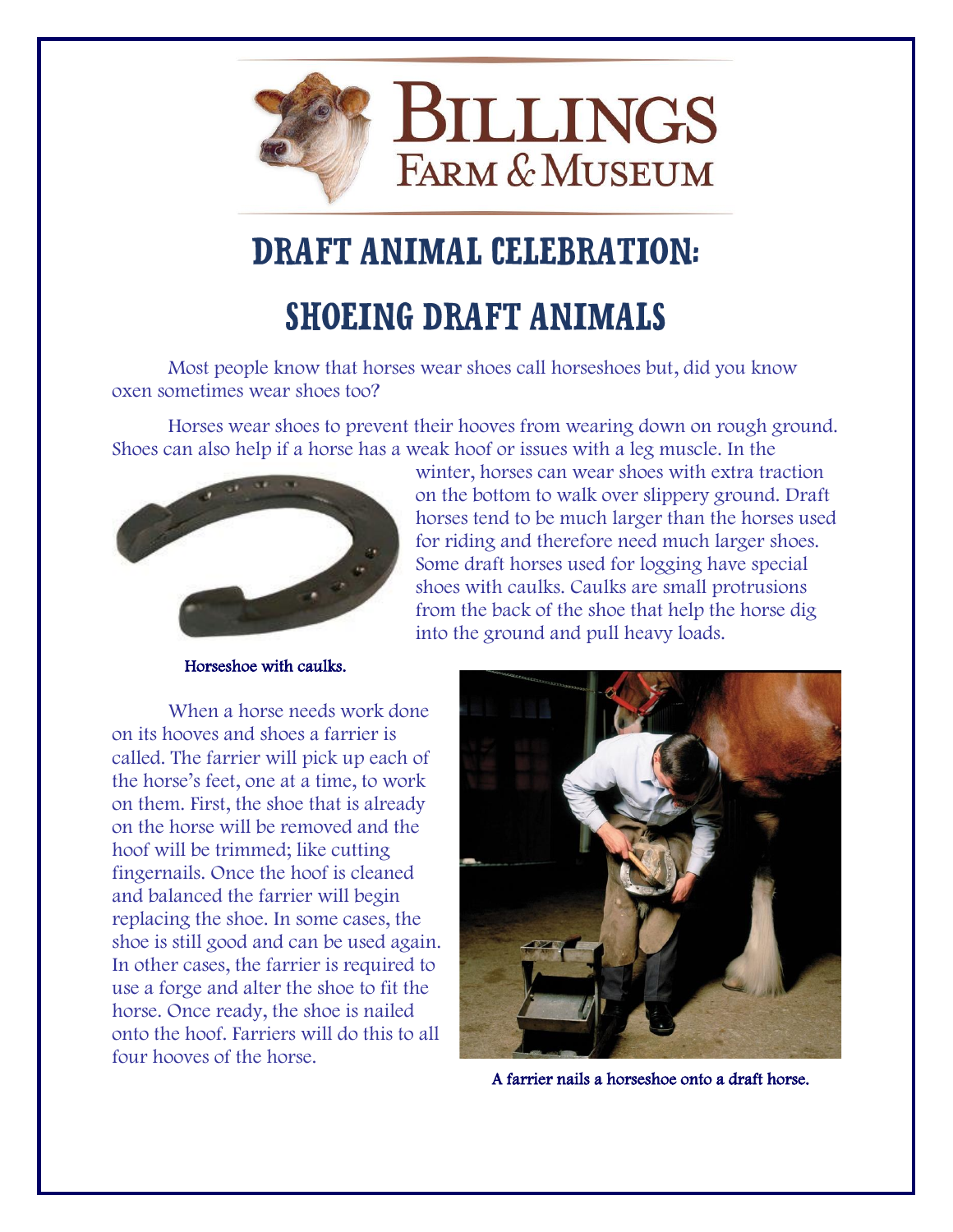

## **DRAFT ANIMAL CELEBRATION: SHOEING DRAFT ANIMALS**

Most people know that horses wear shoes call horseshoes but, did you know oxen sometimes wear shoes too?

Horses wear shoes to prevent their hooves from wearing down on rough ground. Shoes can also help if a horse has a weak hoof or issues with a leg muscle. In the



winter, horses can wear shoes with extra traction on the bottom to walk over slippery ground. Draft horses tend to be much larger than the horses used for riding and therefore need much larger shoes. Some draft horses used for logging have special shoes with caulks. Caulks are small protrusions from the back of the shoe that help the horse dig into the ground and pull heavy loads.

Horseshoe with caulks.

When a horse needs work done on its hooves and shoes a farrier is called. The farrier will pick up each of the horse's feet, one at a time, to work on them. First, the shoe that is already on the horse will be removed and the hoof will be trimmed; like cutting fingernails. Once the hoof is cleaned and balanced the farrier will begin replacing the shoe. In some cases, the shoe is still good and can be used again. In other cases, the farrier is required to use a forge and alter the shoe to fit the horse. Once ready, the shoe is nailed onto the hoof. Farriers will do this to all four hooves of the horse.



A farrier nails a horseshoe onto a draft horse.